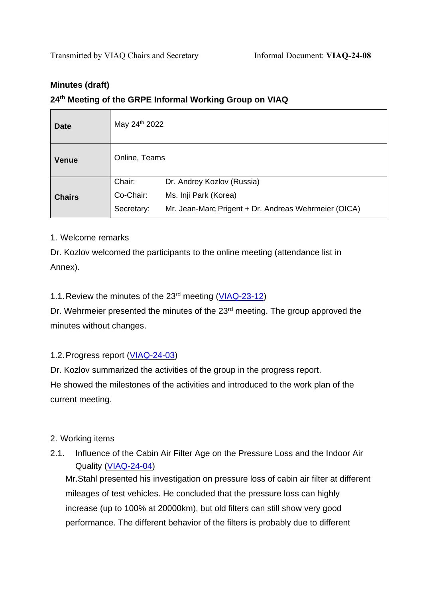# **Minutes (draft) 24 th Meeting of the GRPE Informal Working Group on VIAQ**

| <b>Date</b>   | May 24th 2022 |                                                      |
|---------------|---------------|------------------------------------------------------|
| <b>Venue</b>  | Online, Teams |                                                      |
| <b>Chairs</b> | Chair:        | Dr. Andrey Kozlov (Russia)                           |
|               | Co-Chair:     | Ms. Inji Park (Korea)                                |
|               | Secretary:    | Mr. Jean-Marc Prigent + Dr. Andreas Wehrmeier (OICA) |

## 1. Welcome remarks

Dr. Kozlov welcomed the participants to the online meeting (attendance list in Annex).

## 1.1. Review the minutes of the 23<sup>rd</sup> meeting [\(VIAQ-23-12\)](https://wiki.unece.org/download/attachments/140707100/VIAQ-23-12-Minutes.docx?api=v2)

Dr. Wehrmeier presented the minutes of the 23<sup>rd</sup> meeting. The group approved the minutes without changes.

## 1.2.Progress report [\(VIAQ-24-03\)](https://wiki.unece.org/download/attachments/166264895/VIAQ-24-03_Progress_Report.pdf?api=v2)

Dr. Kozlov summarized the activities of the group in the progress report. He showed the milestones of the activities and introduced to the work plan of the current meeting.

## 2. Working items

2.1. Influence of the Cabin Air Filter Age on the Pressure Loss and the Indoor Air Quality [\(VIAQ-24-04\)](https://wiki.unece.org/download/attachments/166264895/VIAQ-24-04_Influence%20of%20the%20Cabin%20Air%20Filter%20Age%20on%20the%20Pressure%20Loss.pdf?api=v2)

Mr.Stahl presented his investigation on pressure loss of cabin air filter at different mileages of test vehicles. He concluded that the pressure loss can highly increase (up to 100% at 20000km), but old filters can still show very good performance. The different behavior of the filters is probably due to different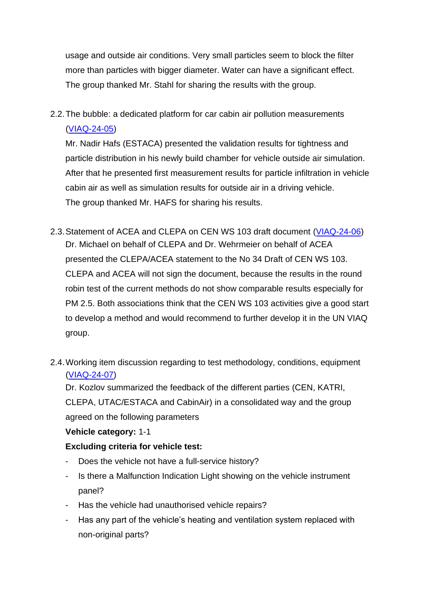usage and outside air conditions. Very small particles seem to block the filter more than particles with bigger diameter. Water can have a significant effect. The group thanked Mr. Stahl for sharing the results with the group.

2.2.The bubble: a dedicated platform for car cabin air pollution measurements [\(VIAQ-24-05\)](https://wiki.unece.org/download/attachments/166264895/VIAQ-24-05_The%20bubble%20a%20dedicated%20platform%20for%20car%20cabin.pdf?api=v2)

Mr. Nadir Hafs (ESTACA) presented the validation results for tightness and particle distribution in his newly build chamber for vehicle outside air simulation. After that he presented first measurement results for particle infiltration in vehicle cabin air as well as simulation results for outside air in a driving vehicle. The group thanked Mr. HAFS for sharing his results.

- 2.3.Statement of ACEA and CLEPA on CEN WS 103 draft document [\(VIAQ-24-06\)](https://wiki.unece.org/download/attachments/166264895/VIAQ-24-06_CENWS103_Statement_CLEPA_Draft2_ACEA_update%20final%20CEN%20version.pdf?api=v2) Dr. Michael on behalf of CLEPA and Dr. Wehrmeier on behalf of ACEA presented the CLEPA/ACEA statement to the No 34 Draft of CEN WS 103. CLEPA and ACEA will not sign the document, because the results in the round robin test of the current methods do not show comparable results especially for PM 2.5. Both associations think that the CEN WS 103 activities give a good start to develop a method and would recommend to further develop it in the UN VIAQ group.
- 2.4.Working item discussion regarding to test methodology, conditions, equipment [\(VIAQ-24-07](https://wiki.unece.org/download/attachments/166264895/VIAQ-24-07_Working_items.pdf?api=v2))

Dr. Kozlov summarized the feedback of the different parties (CEN, KATRI, CLEPA, UTAC/ESTACA and CabinAir) in a consolidated way and the group agreed on the following parameters

## **Vehicle category:** 1-1

## **Excluding criteria for vehicle test:**

- Does the vehicle not have a full-service history?
- Is there a Malfunction Indication Light showing on the vehicle instrument panel?
- Has the vehicle had unauthorised vehicle repairs?
- Has any part of the vehicle's heating and ventilation system replaced with non-original parts?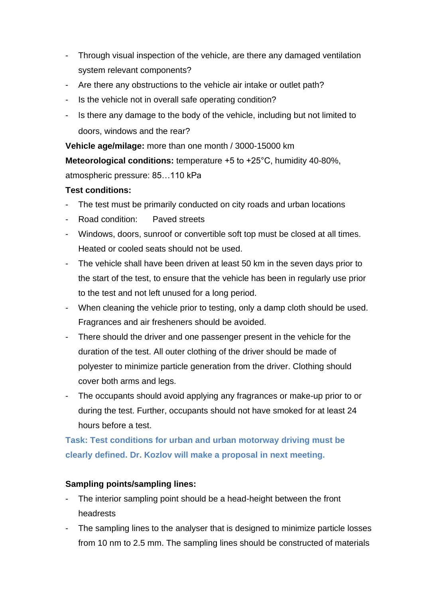- Through visual inspection of the vehicle, are there any damaged ventilation system relevant components?
- Are there any obstructions to the vehicle air intake or outlet path?
- Is the vehicle not in overall safe operating condition?
- Is there any damage to the body of the vehicle, including but not limited to doors, windows and the rear?

**Vehicle age/milage:** more than one month / 3000-15000 km

**Meteorological conditions:** temperature +5 to +25°C, humidity 40-80%,

atmospheric pressure: 85…110 kPa

## **Test conditions:**

- The test must be primarily conducted on city roads and urban locations
- Road condition: Paved streets
- Windows, doors, sunroof or convertible soft top must be closed at all times. Heated or cooled seats should not be used.
- The vehicle shall have been driven at least 50 km in the seven days prior to the start of the test, to ensure that the vehicle has been in regularly use prior to the test and not left unused for a long period.
- When cleaning the vehicle prior to testing, only a damp cloth should be used. Fragrances and air fresheners should be avoided.
- There should the driver and one passenger present in the vehicle for the duration of the test. All outer clothing of the driver should be made of polyester to minimize particle generation from the driver. Clothing should cover both arms and legs.
- The occupants should avoid applying any fragrances or make-up prior to or during the test. Further, occupants should not have smoked for at least 24 hours before a test.

# **Task: Test conditions for urban and urban motorway driving must be clearly defined. Dr. Kozlov will make a proposal in next meeting.**

## **Sampling points/sampling lines:**

- The interior sampling point should be a head-height between the front headrests
- The sampling lines to the analyser that is designed to minimize particle losses from 10 nm to 2.5 mm. The sampling lines should be constructed of materials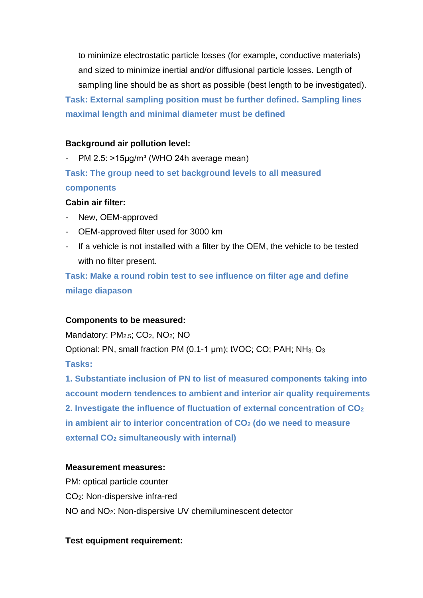to minimize electrostatic particle losses (for example, conductive materials) and sized to minimize inertial and/or diffusional particle losses. Length of sampling line should be as short as possible (best length to be investigated). **Task: External sampling position must be further defined. Sampling lines maximal length and minimal diameter must be defined**

### **Background air pollution level:**

PM 2.5:  $>15\mu g/m<sup>3</sup>$  (WHO 24h average mean) **Task: The group need to set background levels to all measured components**

#### **Cabin air filter:**

- New, OEM-approved
- OEM-approved filter used for 3000 km
- If a vehicle is not installed with a filter by the OEM, the vehicle to be tested with no filter present.

**Task: Make a round robin test to see influence on filter age and define milage diapason**

#### **Components to be measured:**

Mandatory: PM<sub>2.5</sub>; CO<sub>2</sub>, NO<sub>2</sub>; NO

Optional: PN, small fraction PM (0.1-1 µm); tVOC; CO; PAH; NH3; O<sup>3</sup> **Tasks:** 

**1. Substantiate inclusion of PN to list of measured components taking into account modern tendences to ambient and interior air quality requirements 2. Investigate the influence of fluctuation of external concentration of CO<sup>2</sup> in ambient air to interior concentration of CO<sup>2</sup> (do we need to measure external CO<sup>2</sup> simultaneously with internal)**

#### **Measurement measures:**

PM: optical particle counter CO2: Non-dispersive infra-red NO and NO2: Non-dispersive UV chemiluminescent detector

#### **Test equipment requirement:**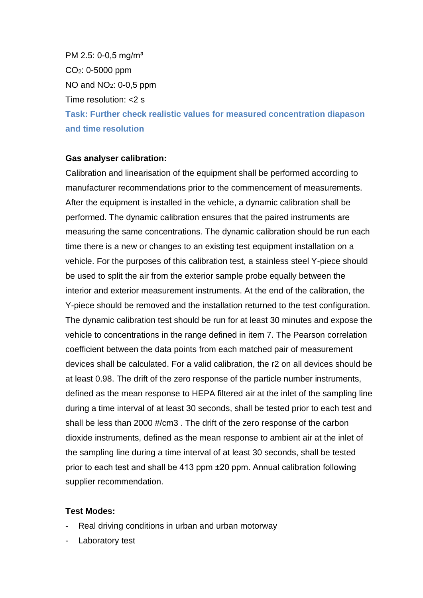PM 2.5: 0-0,5 mg/m<sup>3</sup> CO2: 0-5000 ppm NO and  $NO<sub>2</sub>$ : 0-0,5 ppm Time resolution: <2 s **Task: Further check realistic values for measured concentration diapason and time resolution**

#### **Gas analyser calibration:**

Calibration and linearisation of the equipment shall be performed according to manufacturer recommendations prior to the commencement of measurements. After the equipment is installed in the vehicle, a dynamic calibration shall be performed. The dynamic calibration ensures that the paired instruments are measuring the same concentrations. The dynamic calibration should be run each time there is a new or changes to an existing test equipment installation on a vehicle. For the purposes of this calibration test, a stainless steel Y-piece should be used to split the air from the exterior sample probe equally between the interior and exterior measurement instruments. At the end of the calibration, the Y-piece should be removed and the installation returned to the test configuration. The dynamic calibration test should be run for at least 30 minutes and expose the vehicle to concentrations in the range defined in item 7. The Pearson correlation coefficient between the data points from each matched pair of measurement devices shall be calculated. For a valid calibration, the r2 on all devices should be at least 0.98. The drift of the zero response of the particle number instruments, defined as the mean response to HEPA filtered air at the inlet of the sampling line during a time interval of at least 30 seconds, shall be tested prior to each test and shall be less than 2000 #/cm3 . The drift of the zero response of the carbon dioxide instruments, defined as the mean response to ambient air at the inlet of the sampling line during a time interval of at least 30 seconds, shall be tested prior to each test and shall be 413 ppm ±20 ppm. Annual calibration following supplier recommendation.

#### **Test Modes:**

- Real driving conditions in urban and urban motorway
- Laboratory test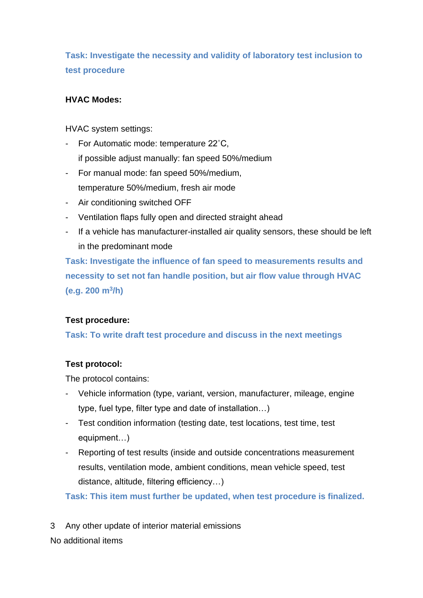**Task: Investigate the necessity and validity of laboratory test inclusion to test procedure**

## **HVAC Modes:**

HVAC system settings:

- For Automatic mode: temperature 22°C, if possible adjust manually: fan speed 50%/medium
- For manual mode: fan speed 50%/medium, temperature 50%/medium, fresh air mode
- Air conditioning switched OFF
- Ventilation flaps fully open and directed straight ahead
- If a vehicle has manufacturer-installed air quality sensors, these should be left in the predominant mode

**Task: Investigate the influence of fan speed to measurements results and necessity to set not fan handle position, but air flow value through HVAC (e.g. 200 m<sup>3</sup> /h)**

## **Test procedure:**

**Task: To write draft test procedure and discuss in the next meetings**

## **Test protocol:**

The protocol contains:

- Vehicle information (type, variant, version, manufacturer, mileage, engine type, fuel type, filter type and date of installation…)
- Test condition information (testing date, test locations, test time, test equipment…)
- Reporting of test results (inside and outside concentrations measurement results, ventilation mode, ambient conditions, mean vehicle speed, test distance, altitude, filtering efficiency…)

**Task: This item must further be updated, when test procedure is finalized.**

3 Any other update of interior material emissions No additional items